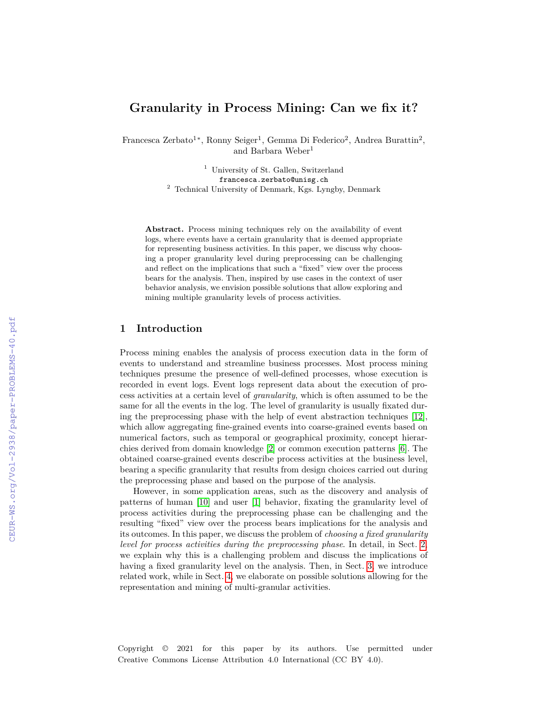# **Granularity in Process Mining: Can we fix it?**

Francesca Zerbato<sup>1</sup><sup>\*</sup>, Ronny Seiger<sup>1</sup>, Gemma Di Federico<sup>2</sup>, Andrea Burattin<sup>2</sup>, and Barbara Weber<sup>1</sup>

> <sup>1</sup> University of St. Gallen, Switzerland francesca.zerbato@unisg.ch <sup>2</sup> Technical University of Denmark, Kgs. Lyngby, Denmark

**Abstract.** Process mining techniques rely on the availability of event logs, where events have a certain granularity that is deemed appropriate for representing business activities. In this paper, we discuss why choosing a proper granularity level during preprocessing can be challenging and reflect on the implications that such a "fixed" view over the process bears for the analysis. Then, inspired by use cases in the context of user behavior analysis, we envision possible solutions that allow exploring and mining multiple granularity levels of process activities.

### **1 Introduction**

Process mining enables the analysis of process execution data in the form of events to understand and streamline business processes. Most process mining techniques presume the presence of well-defined processes, whose execution is recorded in event logs. Event logs represent data about the execution of process activities at a certain level of *granularity*, which is often assumed to be the same for all the events in the log. The level of granularity is usually fixated during the preprocessing phase with the help of event abstraction techniques [\[12\]](#page--1-0), which allow aggregating fine-grained events into coarse-grained events based on numerical factors, such as temporal or geographical proximity, concept hierarchies derived from domain knowledge [\[2\]](#page--1-1) or common execution patterns [\[6\]](#page--1-2). The obtained coarse-grained events describe process activities at the business level, bearing a specific granularity that results from design choices carried out during the preprocessing phase and based on the purpose of the analysis.

However, in some application areas, such as the discovery and analysis of patterns of human [\[10\]](#page--1-3) and user [\[1\]](#page--1-4) behavior, fixating the granularity level of process activities during the preprocessing phase can be challenging and the resulting "fixed" view over the process bears implications for the analysis and its outcomes. In this paper, we discuss the problem of *choosing a fixed granularity level for process activities during the preprocessing phase*. In detail, in Sect. [2,](#page--1-5) we explain why this is a challenging problem and discuss the implications of having a fixed granularity level on the analysis. Then, in Sect. [3,](#page--1-5) we introduce related work, while in Sect. [4,](#page--1-6) we elaborate on possible solutions allowing for the representation and mining of multi-granular activities.

Copyright © 2021 for this paper by its authors. Use permitted under Creative Commons License Attribution 4.0 International (CC BY 4.0).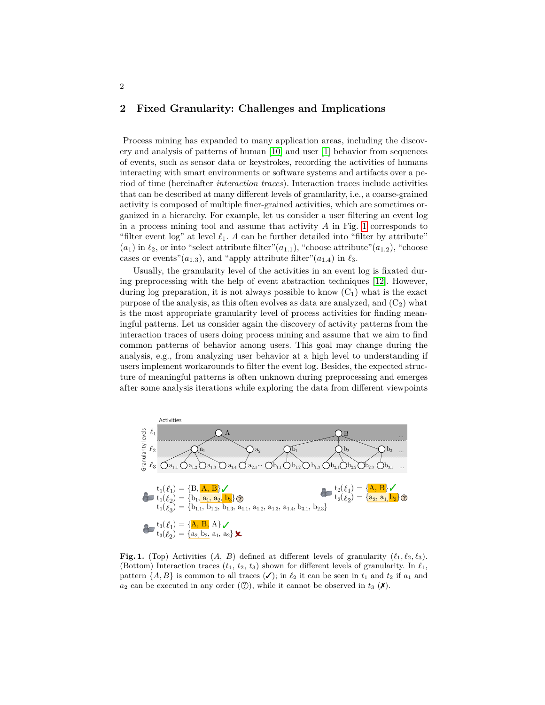#### **2 Fixed Granularity: Challenges and Implications**

2

Process mining has expanded to many application areas, including the discovery and analysis of patterns of human [\[10\]](#page-4-0) and user [\[1\]](#page-4-1) behavior from sequences of events, such as sensor data or keystrokes, recording the activities of humans interacting with smart environments or software systems and artifacts over a period of time (hereinafter *interaction traces*). Interaction traces include activities that can be described at many different levels of granularity, i.e., a coarse-grained activity is composed of multiple finer-grained activities, which are sometimes organized in a hierarchy. For example, let us consider a user filtering an event log in a process mining tool and assume that activity  $A$  in Fig. [1](#page-1-0) corresponds to "filter event log" at level  $\ell_1$ . A can be further detailed into "filter by attribute"  $(a_1)$  in  $\ell_2$ , or into "select attribute filter" $(a_{1,1})$ , "choose attribute" $(a_{1,2})$ , "choose cases or events" $(a_{1.3})$ , and "apply attribute filter" $(a_{1.4})$  in  $\ell_3$ .

Usually, the granularity level of the activities in an event log is fixated during preprocessing with the help of event abstraction techniques [\[12\]](#page-4-2). However, during log preparation, it is not always possible to know  $(C_1)$  what is the exact purpose of the analysis, as this often evolves as data are analyzed, and  $(C_2)$  what is the most appropriate granularity level of process activities for finding meaningful patterns. Let us consider again the discovery of activity patterns from the interaction traces of users doing process mining and assume that we aim to find common patterns of behavior among users. This goal may change during the analysis, e.g., from analyzing user behavior at a high level to understanding if users implement workarounds to filter the event log. Besides, the expected structure of meaningful patterns is often unknown during preprocessing and emerges after some analysis iterations while exploring the data from different viewpoints



<span id="page-1-0"></span>**Fig. 1.** (Top) Activities  $(A, B)$  defined at different levels of granularity  $(\ell_1, \ell_2, \ell_3)$ . (Bottom) Interaction traces  $(t_1, t_2, t_3)$  shown for different levels of granularity. In  $\ell_1$ , pattern  $\{A, B\}$  is common to all traces  $(\checkmark)$ ; in  $\ell_2$  it can be seen in  $t_1$  and  $t_2$  if  $a_1$  and  $a_2$  can be executed in any order ( $\mathcal{O}$ ), while it cannot be observed in  $t_3$  ( $\mathsf{X}$ ).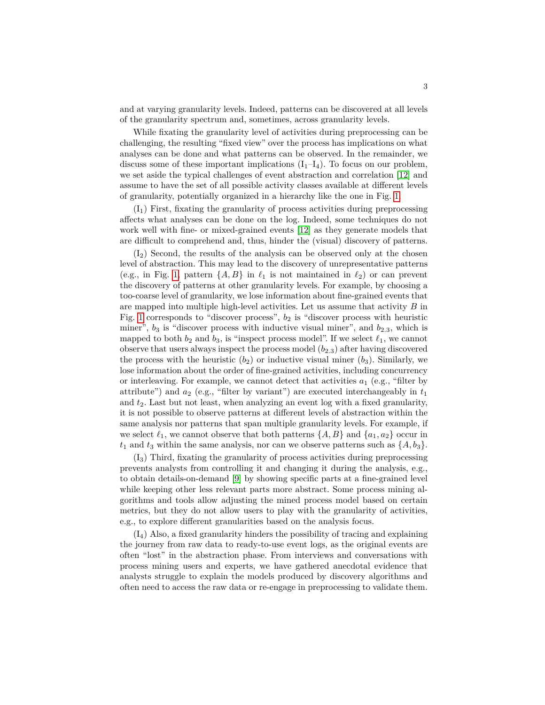and at varying granularity levels. Indeed, patterns can be discovered at all levels of the granularity spectrum and, sometimes, across granularity levels.

While fixating the granularity level of activities during preprocessing can be challenging, the resulting "fixed view" over the process has implications on what analyses can be done and what patterns can be observed. In the remainder, we discuss some of these important implications  $(I_1-I_4)$ . To focus on our problem, we set aside the typical challenges of event abstraction and correlation [\[12\]](#page-4-2) and assume to have the set of all possible activity classes available at different levels of granularity, potentially organized in a hierarchy like the one in Fig. [1.](#page-1-0)

 $(I<sub>1</sub>)$  First, fixating the granularity of process activities during preprocessing affects what analyses can be done on the log. Indeed, some techniques do not work well with fine- or mixed-grained events [\[12\]](#page-4-2) as they generate models that are difficult to comprehend and, thus, hinder the (visual) discovery of patterns.

 $(I_2)$  Second, the results of the analysis can be observed only at the chosen level of abstraction. This may lead to the discovery of unrepresentative patterns (e.g., in Fig. [1,](#page-1-0) pattern  $\{A, B\}$  in  $\ell_1$  is not maintained in  $\ell_2$ ) or can prevent the discovery of patterns at other granularity levels. For example, by choosing a too-coarse level of granularity, we lose information about fine-grained events that are mapped into multiple high-level activities. Let us assume that activity  $B$  in Fig. [1](#page-1-0) corresponds to "discover process",  $b_2$  is "discover process with heuristic miner",  $b_3$  is "discover process with inductive visual miner", and  $b_{2,3}$ , which is mapped to both  $b_2$  and  $b_3$ , is "inspect process model". If we select  $\ell_1$ , we cannot observe that users always inspect the process model  $(b_{2,3})$  after having discovered the process with the heuristic  $(b_2)$  or inductive visual miner  $(b_3)$ . Similarly, we lose information about the order of fine-grained activities, including concurrency or interleaving. For example, we cannot detect that activities  $a_1$  (e.g., "filter by attribute") and  $a_2$  (e.g., "filter by variant") are executed interchangeably in  $t_1$ and  $t_2$ . Last but not least, when analyzing an event log with a fixed granularity, it is not possible to observe patterns at different levels of abstraction within the same analysis nor patterns that span multiple granularity levels. For example, if we select  $\ell_1$ , we cannot observe that both patterns  $\{A, B\}$  and  $\{a_1, a_2\}$  occur in  $t_1$  and  $t_3$  within the same analysis, nor can we observe patterns such as  $\{A, b_3\}.$ 

 $(I_3)$  Third, fixating the granularity of process activities during preprocessing prevents analysts from controlling it and changing it during the analysis, e.g., to obtain details-on-demand [\[9\]](#page-4-3) by showing specific parts at a fine-grained level while keeping other less relevant parts more abstract. Some process mining algorithms and tools allow adjusting the mined process model based on certain metrics, but they do not allow users to play with the granularity of activities, e.g., to explore different granularities based on the analysis focus.

(I4) Also, a fixed granularity hinders the possibility of tracing and explaining the journey from raw data to ready-to-use event logs, as the original events are often "lost" in the abstraction phase. From interviews and conversations with process mining users and experts, we have gathered anecdotal evidence that analysts struggle to explain the models produced by discovery algorithms and often need to access the raw data or re-engage in preprocessing to validate them.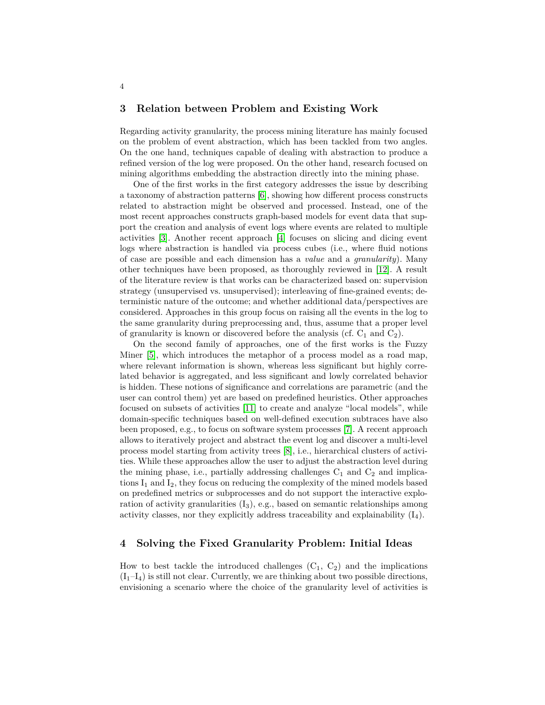#### **3 Relation between Problem and Existing Work**

Regarding activity granularity, the process mining literature has mainly focused on the problem of event abstraction, which has been tackled from two angles. On the one hand, techniques capable of dealing with abstraction to produce a refined version of the log were proposed. On the other hand, research focused on mining algorithms embedding the abstraction directly into the mining phase.

One of the first works in the first category addresses the issue by describing a taxonomy of abstraction patterns [\[6\]](#page-4-4), showing how different process constructs related to abstraction might be observed and processed. Instead, one of the most recent approaches constructs graph-based models for event data that support the creation and analysis of event logs where events are related to multiple activities [\[3\]](#page-4-5). Another recent approach [\[4\]](#page-4-6) focuses on slicing and dicing event logs where abstraction is handled via process cubes (i.e., where fluid notions of case are possible and each dimension has a *value* and a *granularity*). Many other techniques have been proposed, as thoroughly reviewed in [\[12\]](#page-4-2). A result of the literature review is that works can be characterized based on: supervision strategy (unsupervised vs. unsupervised); interleaving of fine-grained events; deterministic nature of the outcome; and whether additional data/perspectives are considered. Approaches in this group focus on raising all the events in the log to the same granularity during preprocessing and, thus, assume that a proper level of granularity is known or discovered before the analysis (cf.  $C_1$  and  $C_2$ ).

On the second family of approaches, one of the first works is the Fuzzy Miner [\[5\]](#page-4-7), which introduces the metaphor of a process model as a road map, where relevant information is shown, whereas less significant but highly correlated behavior is aggregated, and less significant and lowly correlated behavior is hidden. These notions of significance and correlations are parametric (and the user can control them) yet are based on predefined heuristics. Other approaches focused on subsets of activities [\[11\]](#page-4-8) to create and analyze "local models", while domain-specific techniques based on well-defined execution subtraces have also been proposed, e.g., to focus on software system processes [\[7\]](#page-4-9). A recent approach allows to iteratively project and abstract the event log and discover a multi-level process model starting from activity trees [\[8\]](#page-4-10), i.e., hierarchical clusters of activities. While these approaches allow the user to adjust the abstraction level during the mining phase, i.e., partially addressing challenges  $C_1$  and  $C_2$  and implications  $I_1$  and  $I_2$ , they focus on reducing the complexity of the mined models based on predefined metrics or subprocesses and do not support the interactive exploration of activity granularities  $(I_3)$ , e.g., based on semantic relationships among activity classes, nor they explicitly address traceability and explainability  $(I_4)$ .

## **4 Solving the Fixed Granularity Problem: Initial Ideas**

How to best tackle the introduced challenges  $(C_1, C_2)$  and the implications  $(I_1-I_4)$  is still not clear. Currently, we are thinking about two possible directions, envisioning a scenario where the choice of the granularity level of activities is